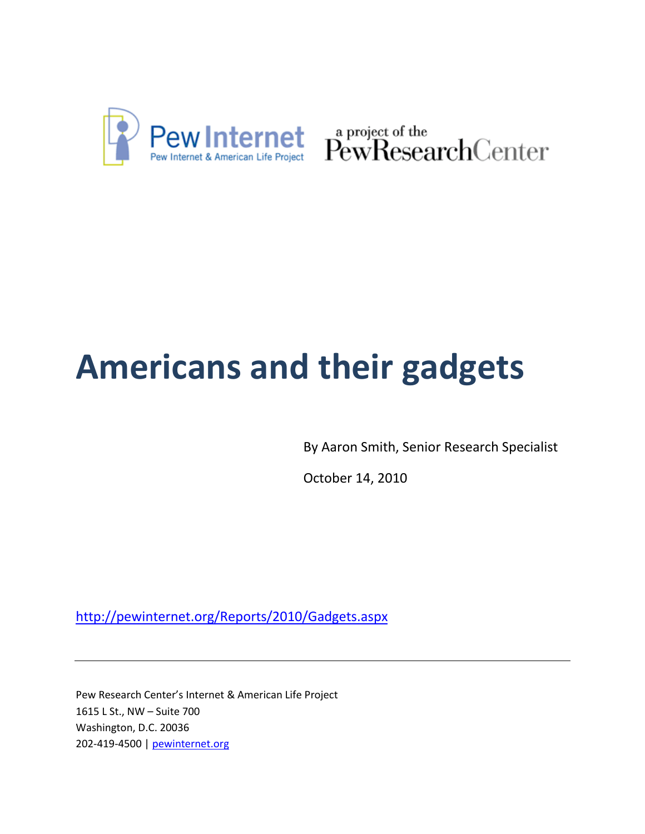

Pew Internet & American Life Project PewResearchCenter

# **Americans and their gadgets**

By Aaron Smith, Senior Research Specialist

October 14, 2010

<http://pewinternet.org/Reports/2010/Gadgets.aspx>

Pew Research Center's Internet & American Life Project 1615 L St., NW – Suite 700 Washington, D.C. 20036 202-419-4500 | pewinternet.org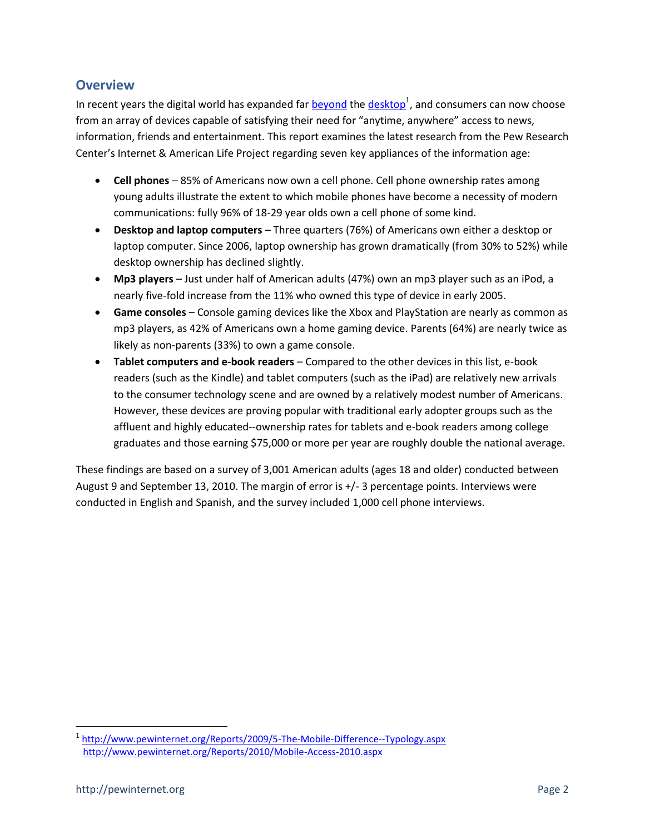## **Overview**

In recent years the digital world has expanded far **beyond** the [desktop](http://www.pewinternet.org/Reports/2010/Mobile-Access-2010.aspx)<sup>1</sup>, and consumers can now choose from an array of devices capable of satisfying their need for "anytime, anywhere" access to news, information, friends and entertainment. This report examines the latest research from the Pew Research Center's Internet & American Life Project regarding seven key appliances of the information age:

- **Cell phones** 85% of Americans now own a cell phone. Cell phone ownership rates among young adults illustrate the extent to which mobile phones have become a necessity of modern communications: fully 96% of 18-29 year olds own a cell phone of some kind.
- **Desktop and laptop computers** Three quarters (76%) of Americans own either a desktop or laptop computer. Since 2006, laptop ownership has grown dramatically (from 30% to 52%) while desktop ownership has declined slightly.
- **Mp3 players** Just under half of American adults (47%) own an mp3 player such as an iPod, a nearly five-fold increase from the 11% who owned this type of device in early 2005.
- **Game consoles** Console gaming devices like the Xbox and PlayStation are nearly as common as mp3 players, as 42% of Americans own a home gaming device. Parents (64%) are nearly twice as likely as non-parents (33%) to own a game console.
- **Tablet computers and e-book readers** Compared to the other devices in this list, e-book readers (such as the Kindle) and tablet computers (such as the iPad) are relatively new arrivals to the consumer technology scene and are owned by a relatively modest number of Americans. However, these devices are proving popular with traditional early adopter groups such as the affluent and highly educated--ownership rates for tablets and e-book readers among college graduates and those earning \$75,000 or more per year are roughly double the national average.

These findings are based on a survey of 3,001 American adults (ages 18 and older) conducted between August 9 and September 13, 2010. The margin of error is +/- 3 percentage points. Interviews were conducted in English and Spanish, and the survey included 1,000 cell phone interviews.

 1 <http://www.pewinternet.org/Reports/2009/5-The-Mobile-Difference--Typology.aspx> <http://www.pewinternet.org/Reports/2010/Mobile-Access-2010.aspx>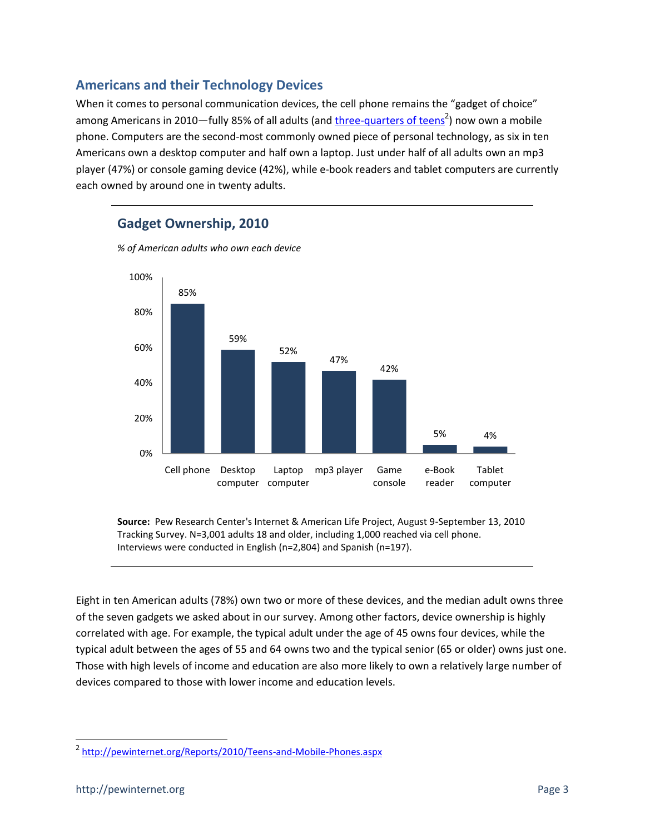## **Americans and their Technology Devices**

**Gadget Ownership, 2010**

When it comes to personal communication devices, the cell phone remains the "gadget of choice" among Americans in 2010—fully 85% of all adults (and *three-quarters of teens<sup>2</sup>*) now own a mobile phone. Computers are the second-most commonly owned piece of personal technology, as six in ten Americans own a desktop computer and half own a laptop. Just under half of all adults own an mp3 player (47%) or console gaming device (42%), while e-book readers and tablet computers are currently each owned by around one in twenty adults.

# *% of American adults who own each device* 85% 59% 52% 47% 42% 5% 4% 20% 40% 60% 80% 100%

computer computer

Laptop

Cell phone Desktop

**Source:** Pew Research Center's Internet & American Life Project, August 9-September 13, 2010 Tracking Survey. N=3,001 adults 18 and older, including 1,000 reached via cell phone. Interviews were conducted in English (n=2,804) and Spanish (n=197).

mp3 player Game

console

e-Book reader

Tablet computer

Eight in ten American adults (78%) own two or more of these devices, and the median adult owns three of the seven gadgets we asked about in our survey. Among other factors, device ownership is highly correlated with age. For example, the typical adult under the age of 45 owns four devices, while the typical adult between the ages of 55 and 64 owns two and the typical senior (65 or older) owns just one. Those with high levels of income and education are also more likely to own a relatively large number of devices compared to those with lower income and education levels.

0%

l

<sup>&</sup>lt;sup>2</sup> <http://pewinternet.org/Reports/2010/Teens-and-Mobile-Phones.aspx>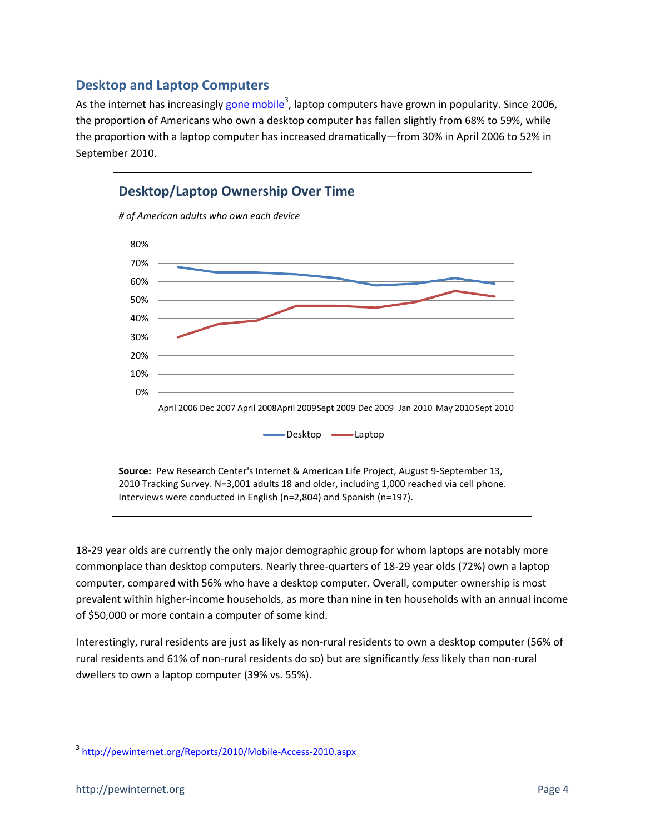## **Desktop and Laptop Computers**

As the internet has increasingly <u>gone mobile</u><sup>3</sup>, laptop computers have grown in popularity. Since 2006, the proportion of Americans who own a desktop computer has fallen slightly from 68% to 59%, while the proportion with a laptop computer has increased dramatically—from 30% in April 2006 to 52% in September 2010.



**Source:** Pew Research Center's Internet & American Life Project, August 9-September 13, 2010 Tracking Survey. N=3,001 adults 18 and older, including 1,000 reached via cell phone. Interviews were conducted in English (n=2,804) and Spanish (n=197).

18-29 year olds are currently the only major demographic group for whom laptops are notably more commonplace than desktop computers. Nearly three-quarters of 18-29 year olds (72%) own a laptop computer, compared with 56% who have a desktop computer. Overall, computer ownership is most prevalent within higher-income households, as more than nine in ten households with an annual income of \$50,000 or more contain a computer of some kind.

Interestingly, rural residents are just as likely as non-rural residents to own a desktop computer (56% of rural residents and 61% of non-rural residents do so) but are significantly *less* likely than non-rural dwellers to own a laptop computer (39% vs. 55%).

l

<sup>3</sup> <http://pewinternet.org/Reports/2010/Mobile-Access-2010.aspx>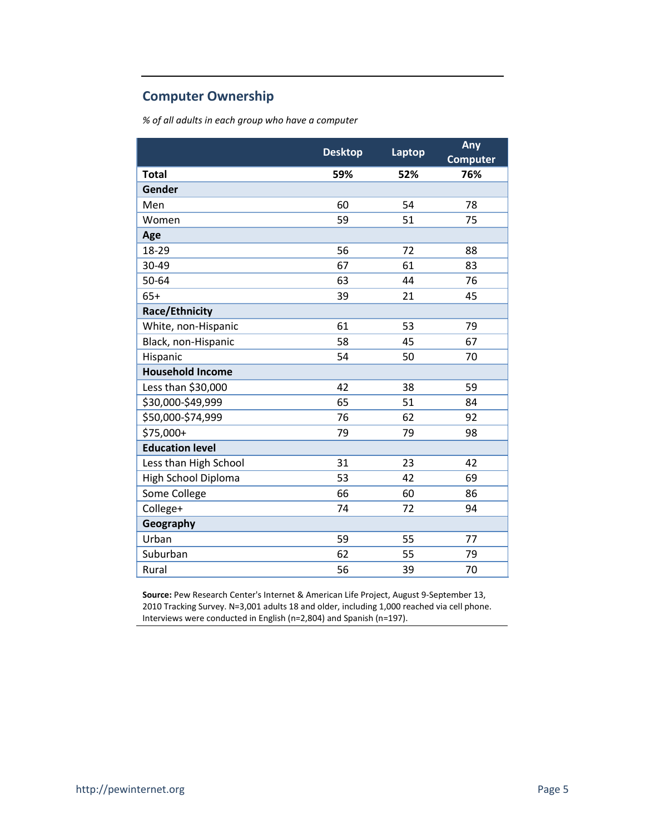## **Computer Ownership**

*% of all adults in each group who have a computer*

|                         | <b>Desktop</b> | Laptop | Any<br><b>Computer</b> |
|-------------------------|----------------|--------|------------------------|
| <b>Total</b>            | 59%            | 52%    | 76%                    |
| Gender                  |                |        |                        |
| Men                     | 60             | 54     | 78                     |
| Women                   | 59             | 51     | 75                     |
| Age                     |                |        |                        |
| 18-29                   | 56             | 72     | 88                     |
| 30-49                   | 67             | 61     | 83                     |
| 50-64                   | 63             | 44     | 76                     |
| $65+$                   | 39             | 21     | 45                     |
| Race/Ethnicity          |                |        |                        |
| White, non-Hispanic     | 61             | 53     | 79                     |
| Black, non-Hispanic     | 58             | 45     | 67                     |
| Hispanic                | 54             | 50     | 70                     |
| <b>Household Income</b> |                |        |                        |
| Less than \$30,000      | 42             | 38     | 59                     |
| \$30,000-\$49,999       | 65             | 51     | 84                     |
| \$50,000-\$74,999       | 76             | 62     | 92                     |
| \$75,000+               | 79             | 79     | 98                     |
| <b>Education level</b>  |                |        |                        |
| Less than High School   | 31             | 23     | 42                     |
| High School Diploma     | 53             | 42     | 69                     |
| Some College            | 66             | 60     | 86                     |
| College+                | 74             | 72     | 94                     |
| Geography               |                |        |                        |
| Urban                   | 59             | 55     | 77                     |
| Suburban                | 62             | 55     | 79                     |
| Rural                   | 56             | 39     | 70                     |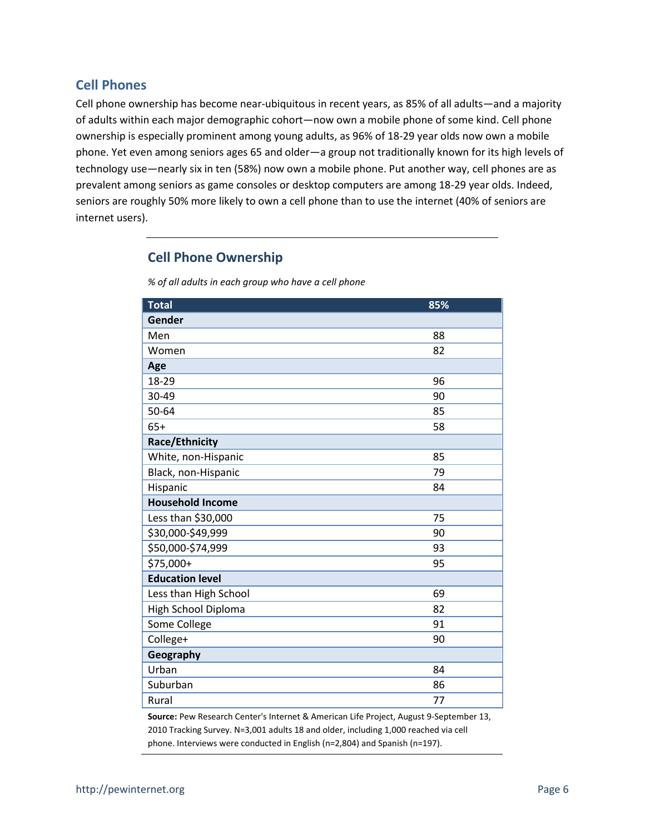### **Cell Phones**

Cell phone ownership has become near-ubiquitous in recent years, as 85% of all adults—and a majority of adults within each major demographic cohort—now own a mobile phone of some kind. Cell phone ownership is especially prominent among young adults, as 96% of 18-29 year olds now own a mobile phone. Yet even among seniors ages 65 and older—a group not traditionally known for its high levels of technology use—nearly six in ten (58%) now own a mobile phone. Put another way, cell phones are as prevalent among seniors as game consoles or desktop computers are among 18-29 year olds. Indeed, seniors are roughly 50% more likely to own a cell phone than to use the internet (40% of seniors are internet users).

## **Cell Phone Ownership**

*% of all adults in each group who have a cell phone*

| <b>Total</b>            | 85% |
|-------------------------|-----|
| Gender                  |     |
| Men                     | 88  |
| Women                   | 82  |
| Age                     |     |
| 18-29                   | 96  |
| 30-49                   | 90  |
| 50-64                   | 85  |
| $65+$                   | 58  |
| Race/Ethnicity          |     |
| White, non-Hispanic     | 85  |
| Black, non-Hispanic     | 79  |
| Hispanic                | 84  |
| <b>Household Income</b> |     |
| Less than \$30,000      | 75  |
| \$30,000-\$49,999       | 90  |
| \$50,000-\$74,999       | 93  |
| \$75,000+               | 95  |
| <b>Education level</b>  |     |
| Less than High School   | 69  |
| High School Diploma     | 82  |
| Some College            | 91  |
| College+                | 90  |
| Geography               |     |
| Urban                   | 84  |
| Suburban                | 86  |
| Rural                   | 77  |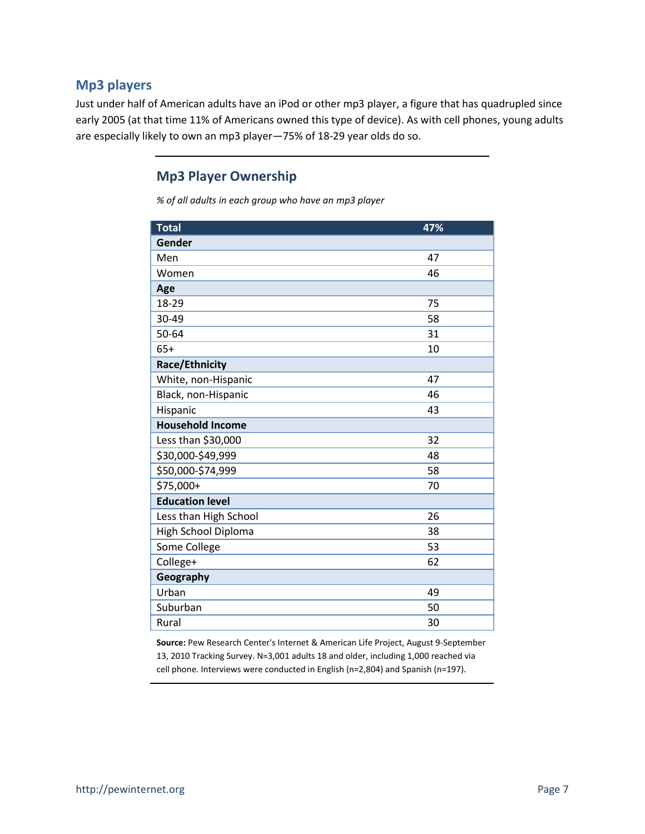## **Mp3 players**

Just under half of American adults have an iPod or other mp3 player, a figure that has quadrupled since early 2005 (at that time 11% of Americans owned this type of device). As with cell phones, young adults are especially likely to own an mp3 player—75% of 18-29 year olds do so.

## **Mp3 Player Ownership**

*% of all adults in each group who have an mp3 player*

| <b>Total</b>            | 47% |
|-------------------------|-----|
| Gender                  |     |
| Men                     | 47  |
| Women                   | 46  |
| Age                     |     |
| 18-29                   | 75  |
| 30-49                   | 58  |
| 50-64                   | 31  |
| $65+$                   | 10  |
| <b>Race/Ethnicity</b>   |     |
| White, non-Hispanic     | 47  |
| Black, non-Hispanic     | 46  |
| Hispanic                | 43  |
| <b>Household Income</b> |     |
| Less than \$30,000      | 32  |
| \$30,000-\$49,999       | 48  |
| \$50,000-\$74,999       | 58  |
| \$75,000+               | 70  |
| <b>Education level</b>  |     |
| Less than High School   | 26  |
| High School Diploma     | 38  |
| Some College            | 53  |
| College+                | 62  |
| Geography               |     |
| Urban                   | 49  |
| Suburban                | 50  |
| Rural                   | 30  |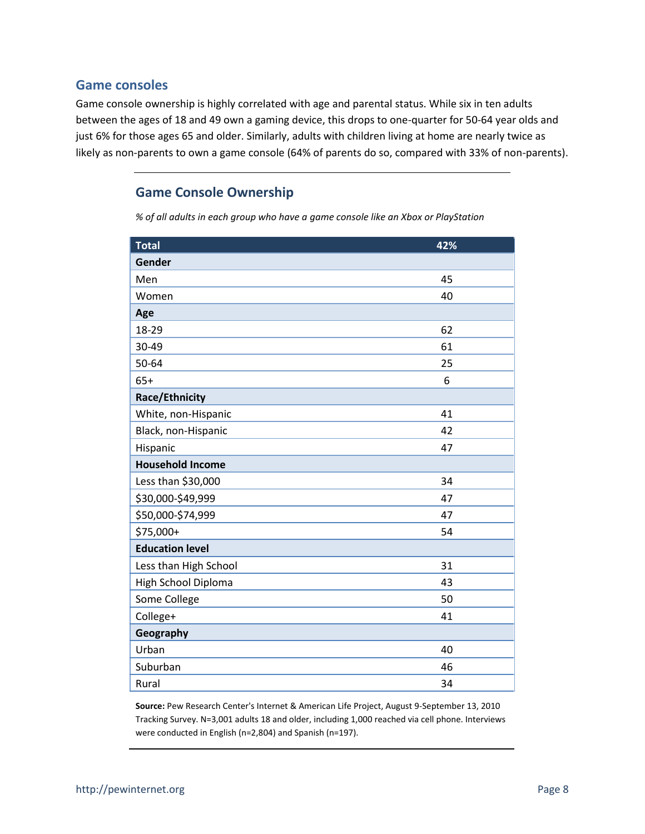#### **Game consoles**

Game console ownership is highly correlated with age and parental status. While six in ten adults between the ages of 18 and 49 own a gaming device, this drops to one-quarter for 50-64 year olds and just 6% for those ages 65 and older. Similarly, adults with children living at home are nearly twice as likely as non-parents to own a game console (64% of parents do so, compared with 33% of non-parents).

## **Game Console Ownership**

*% of all adults in each group who have a game console like an Xbox or PlayStation*

| <b>Total</b>            | 42% |
|-------------------------|-----|
| Gender                  |     |
| Men                     | 45  |
| Women                   | 40  |
| Age                     |     |
| 18-29                   | 62  |
| 30-49                   | 61  |
| 50-64                   | 25  |
| $65+$                   | 6   |
| Race/Ethnicity          |     |
| White, non-Hispanic     | 41  |
| Black, non-Hispanic     | 42  |
| Hispanic                | 47  |
| <b>Household Income</b> |     |
| Less than \$30,000      | 34  |
| \$30,000-\$49,999       | 47  |
| \$50,000-\$74,999       | 47  |
| \$75,000+               | 54  |
| <b>Education level</b>  |     |
| Less than High School   | 31  |
| High School Diploma     | 43  |
| Some College            | 50  |
| College+                | 41  |
| Geography               |     |
| Urban                   | 40  |
| Suburban                | 46  |
| Rural                   | 34  |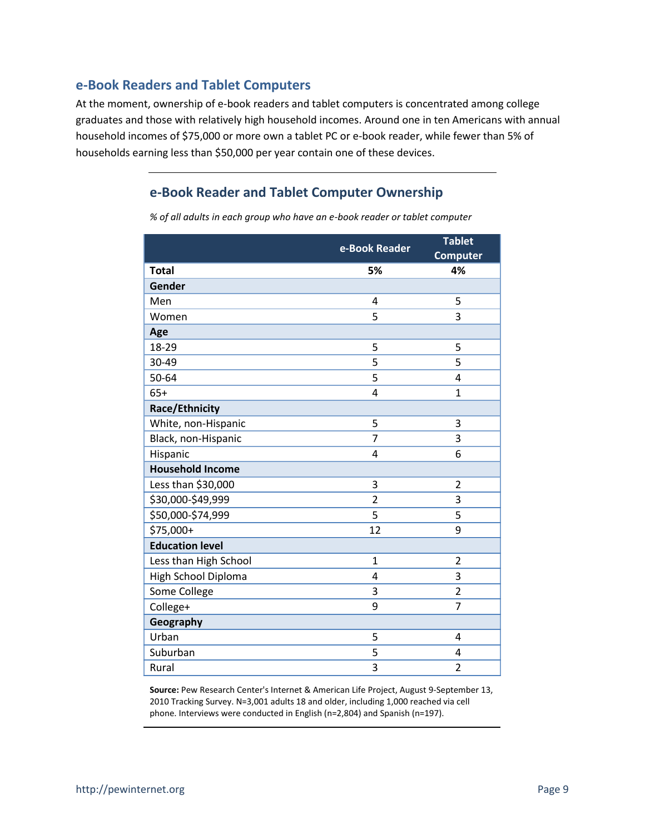#### **e-Book Readers and Tablet Computers**

At the moment, ownership of e-book readers and tablet computers is concentrated among college graduates and those with relatively high household incomes. Around one in ten Americans with annual household incomes of \$75,000 or more own a tablet PC or e-book reader, while fewer than 5% of households earning less than \$50,000 per year contain one of these devices.

## **e-Book Reader and Tablet Computer Ownership**

*% of all adults in each group who have an e-book reader or tablet computer*

|                         | e-Book Reader  | <b>Tablet</b><br><b>Computer</b> |
|-------------------------|----------------|----------------------------------|
| <b>Total</b>            | 5%             | 4%                               |
| Gender                  |                |                                  |
| Men                     | 4              | 5                                |
| Women                   | 5              | 3                                |
| Age                     |                |                                  |
| 18-29                   | 5              | 5                                |
| 30-49                   | 5              | 5                                |
| 50-64                   | 5              | 4                                |
| $65+$                   | 4              | $\mathbf{1}$                     |
| <b>Race/Ethnicity</b>   |                |                                  |
| White, non-Hispanic     | 5              | 3                                |
| Black, non-Hispanic     | $\overline{7}$ | 3                                |
| Hispanic                | 4              | 6                                |
| <b>Household Income</b> |                |                                  |
| Less than \$30,000      | 3              | $\overline{2}$                   |
| \$30,000-\$49,999       | $\overline{2}$ | 3                                |
| \$50,000-\$74,999       | 5              | 5                                |
| \$75,000+               | 12             | 9                                |
| <b>Education level</b>  |                |                                  |
| Less than High School   | $\mathbf{1}$   | $\overline{2}$                   |
| High School Diploma     | 4              | 3                                |
| Some College            | 3              | $\overline{2}$                   |
| College+                | 9              | $\overline{7}$                   |
| Geography               |                |                                  |
| Urban                   | 5              | 4                                |
| Suburban                | 5              | 4                                |
| Rural                   | 3              | $\overline{2}$                   |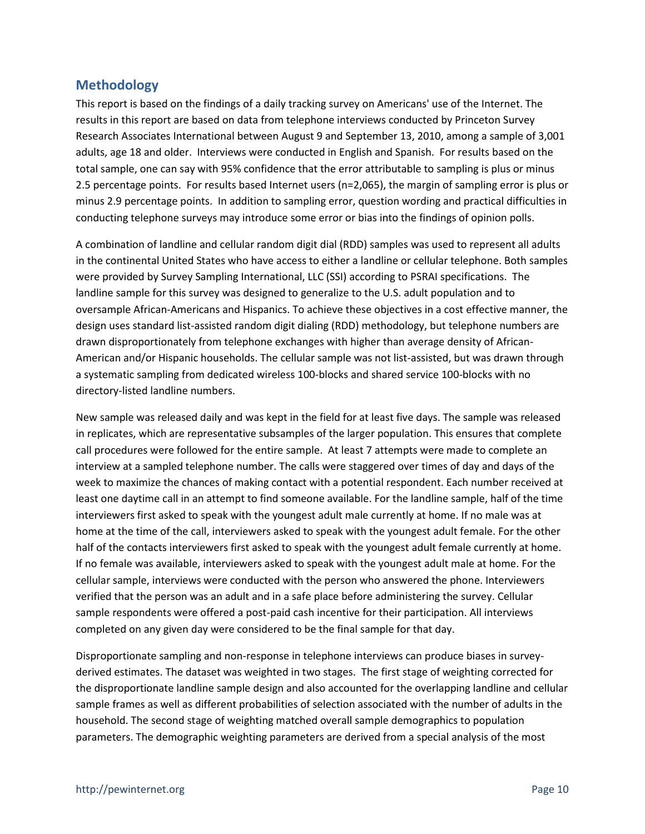## **Methodology**

This report is based on the findings of a daily tracking survey on Americans' use of the Internet. The results in this report are based on data from telephone interviews conducted by Princeton Survey Research Associates International between August 9 and September 13, 2010, among a sample of 3,001 adults, age 18 and older. Interviews were conducted in English and Spanish. For results based on the total sample, one can say with 95% confidence that the error attributable to sampling is plus or minus 2.5 percentage points. For results based Internet users (n=2,065), the margin of sampling error is plus or minus 2.9 percentage points. In addition to sampling error, question wording and practical difficulties in conducting telephone surveys may introduce some error or bias into the findings of opinion polls.

A combination of landline and cellular random digit dial (RDD) samples was used to represent all adults in the continental United States who have access to either a landline or cellular telephone. Both samples were provided by Survey Sampling International, LLC (SSI) according to PSRAI specifications. The landline sample for this survey was designed to generalize to the U.S. adult population and to oversample African-Americans and Hispanics. To achieve these objectives in a cost effective manner, the design uses standard list-assisted random digit dialing (RDD) methodology, but telephone numbers are drawn disproportionately from telephone exchanges with higher than average density of African-American and/or Hispanic households. The cellular sample was not list-assisted, but was drawn through a systematic sampling from dedicated wireless 100-blocks and shared service 100-blocks with no directory-listed landline numbers.

New sample was released daily and was kept in the field for at least five days. The sample was released in replicates, which are representative subsamples of the larger population. This ensures that complete call procedures were followed for the entire sample. At least 7 attempts were made to complete an interview at a sampled telephone number. The calls were staggered over times of day and days of the week to maximize the chances of making contact with a potential respondent. Each number received at least one daytime call in an attempt to find someone available. For the landline sample, half of the time interviewers first asked to speak with the youngest adult male currently at home. If no male was at home at the time of the call, interviewers asked to speak with the youngest adult female. For the other half of the contacts interviewers first asked to speak with the youngest adult female currently at home. If no female was available, interviewers asked to speak with the youngest adult male at home. For the cellular sample, interviews were conducted with the person who answered the phone. Interviewers verified that the person was an adult and in a safe place before administering the survey. Cellular sample respondents were offered a post-paid cash incentive for their participation. All interviews completed on any given day were considered to be the final sample for that day.

Disproportionate sampling and non-response in telephone interviews can produce biases in surveyderived estimates. The dataset was weighted in two stages. The first stage of weighting corrected for the disproportionate landline sample design and also accounted for the overlapping landline and cellular sample frames as well as different probabilities of selection associated with the number of adults in the household. The second stage of weighting matched overall sample demographics to population parameters. The demographic weighting parameters are derived from a special analysis of the most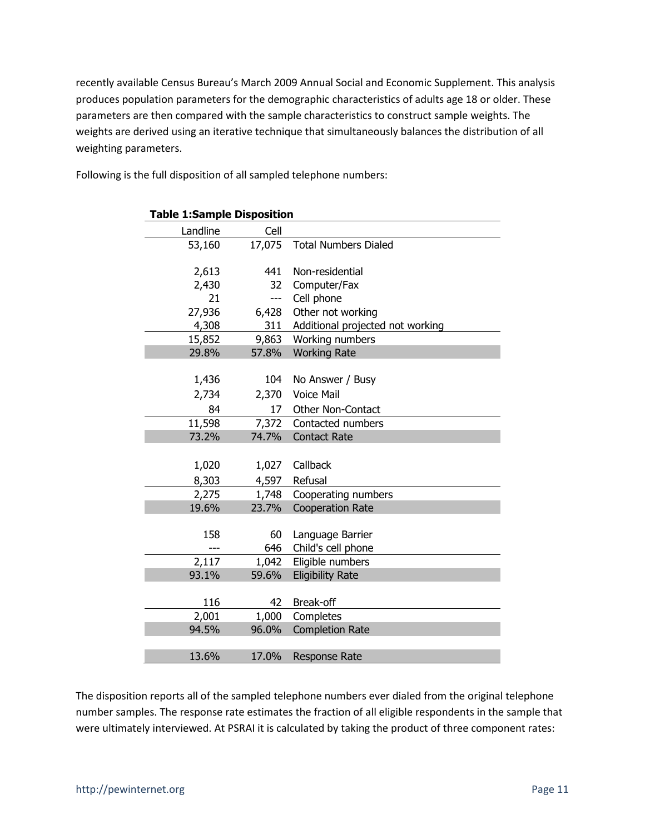recently available Census Bureau's March 2009 Annual Social and Economic Supplement. This analysis produces population parameters for the demographic characteristics of adults age 18 or older. These parameters are then compared with the sample characteristics to construct sample weights. The weights are derived using an iterative technique that simultaneously balances the distribution of all weighting parameters.

| <b>Table 1:Sample Disposition</b> |        |                                  |
|-----------------------------------|--------|----------------------------------|
| Landline                          | Cell   |                                  |
| 53,160                            | 17,075 | <b>Total Numbers Dialed</b>      |
|                                   |        |                                  |
| 2,613                             | 441    | Non-residential                  |
| 2,430                             | 32     | Computer/Fax                     |
| 21                                | ---    | Cell phone                       |
| 27,936                            | 6,428  | Other not working                |
| 4,308                             | 311    | Additional projected not working |
| 15,852                            | 9,863  | Working numbers                  |
| 29.8%                             | 57.8%  | <b>Working Rate</b>              |
|                                   |        |                                  |
| 1,436                             | 104    | No Answer / Busy                 |
| 2,734                             | 2,370  | <b>Voice Mail</b>                |
| 84                                | 17     | Other Non-Contact                |
| 11,598                            | 7,372  | Contacted numbers                |
| 73.2%                             | 74.7%  | <b>Contact Rate</b>              |
|                                   |        |                                  |
| 1,020                             | 1,027  | Callback                         |
| 8,303                             | 4,597  | Refusal                          |
| 2,275                             | 1,748  | Cooperating numbers              |
| 19.6%                             | 23.7%  | <b>Cooperation Rate</b>          |
|                                   |        |                                  |
| 158                               | 60     | Language Barrier                 |
|                                   | 646    | Child's cell phone               |
| 2,117                             | 1,042  | Eligible numbers                 |
| 93.1%                             | 59.6%  | <b>Eligibility Rate</b>          |
|                                   |        |                                  |
| 116                               | 42     | Break-off                        |
| 2,001                             | 1,000  | Completes                        |
| 94.5%                             | 96.0%  | <b>Completion Rate</b>           |
|                                   |        |                                  |
| 13.6%                             | 17.0%  | <b>Response Rate</b>             |

Following is the full disposition of all sampled telephone numbers:

The disposition reports all of the sampled telephone numbers ever dialed from the original telephone number samples. The response rate estimates the fraction of all eligible respondents in the sample that were ultimately interviewed. At PSRAI it is calculated by taking the product of three component rates: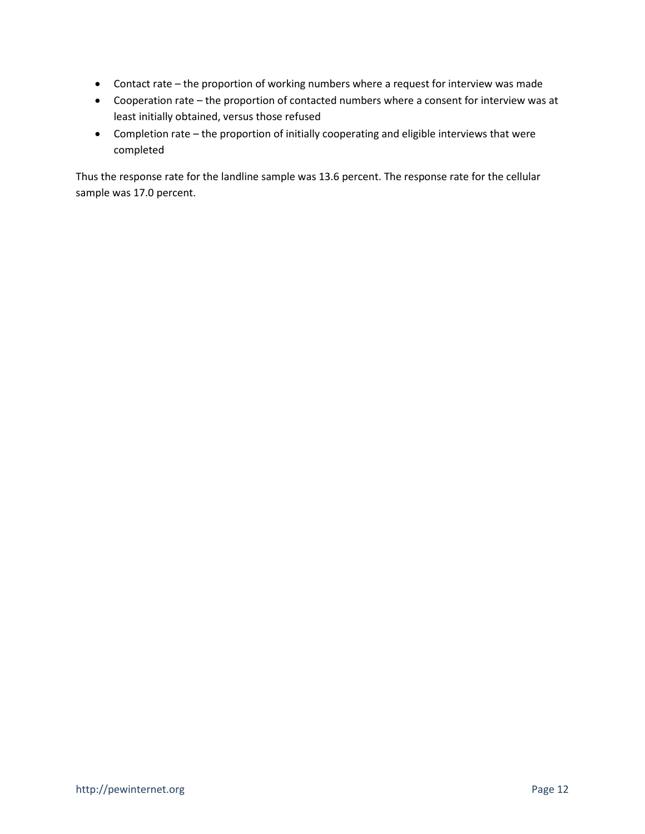- Contact rate the proportion of working numbers where a request for interview was made
- Cooperation rate the proportion of contacted numbers where a consent for interview was at least initially obtained, versus those refused
- Completion rate the proportion of initially cooperating and eligible interviews that were completed

Thus the response rate for the landline sample was 13.6 percent. The response rate for the cellular sample was 17.0 percent.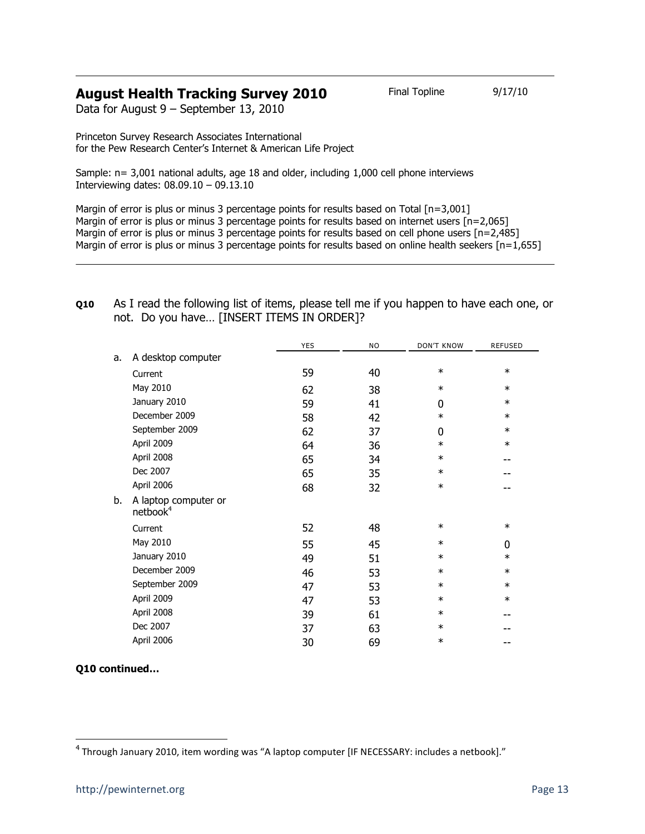## **August Health Tracking Survey 2010** Final Topline 9/17/10

Data for August 9 – September 13, 2010

Princeton Survey Research Associates International for the Pew Research Center's Internet & American Life Project

Sample: n= 3,001 national adults, age 18 and older, including 1,000 cell phone interviews Interviewing dates: 08.09.10 – 09.13.10

Margin of error is plus or minus 3 percentage points for results based on Total [n=3,001] Margin of error is plus or minus 3 percentage points for results based on internet users [n=2,065] Margin of error is plus or minus 3 percentage points for results based on cell phone users [n=2,485] Margin of error is plus or minus 3 percentage points for results based on online health seekers  $[n=1,655]$ 

|                                              | <b>YES</b> | NO | <b>DON'T KNOW</b> | <b>REFUSED</b> |
|----------------------------------------------|------------|----|-------------------|----------------|
| A desktop computer                           |            |    |                   |                |
| Current                                      | 59         | 40 | $\ast$            | $\ast$         |
| May 2010                                     |            |    | $\ast$            | $\ast$         |
| January 2010                                 | 59         | 41 | 0                 | $\ast$         |
| December 2009                                | 58         | 42 | $\ast$            | $\ast$         |
| September 2009                               | 62         | 37 | 0                 | $\ast$         |
| April 2009                                   | 64         | 36 | $\ast$            | $\ast$         |
| April 2008                                   | 65         | 34 | $\ast$            | --             |
| Dec 2007                                     | 65         | 35 | $\ast$            |                |
| April 2006                                   | 68         | 32 | $\ast$            |                |
| A laptop computer or<br>netbook <sup>4</sup> |            |    |                   |                |
| Current                                      | 52         | 48 | $\ast$            | $\ast$         |
| May 2010                                     | 55         | 45 | $\ast$            | $\mathbf 0$    |
| January 2010                                 | 49         | 51 | $\ast$            | $\ast$         |
| December 2009                                | 46         | 53 | $\ast$            | $\ast$         |
| September 2009                               | 47         | 53 | $\ast$            | $\ast$         |
| April 2009                                   | 47         | 53 | $\ast$            | $\ast$         |
| April 2008                                   | 39         | 61 | $\ast$            |                |
| Dec 2007                                     | 37         | 63 | $\ast$            |                |
| April 2006                                   | 30         | 69 | $\ast$            | --             |
|                                              |            | 62 | 38                |                |

**Q10** As I read the following list of items, please tell me if you happen to have each one, or not. Do you have… [INSERT ITEMS IN ORDER]?

l

**Q10 continued…**

<sup>&</sup>lt;sup>4</sup> Through January 2010, item wording was "A laptop computer [IF NECESSARY: includes a netbook]."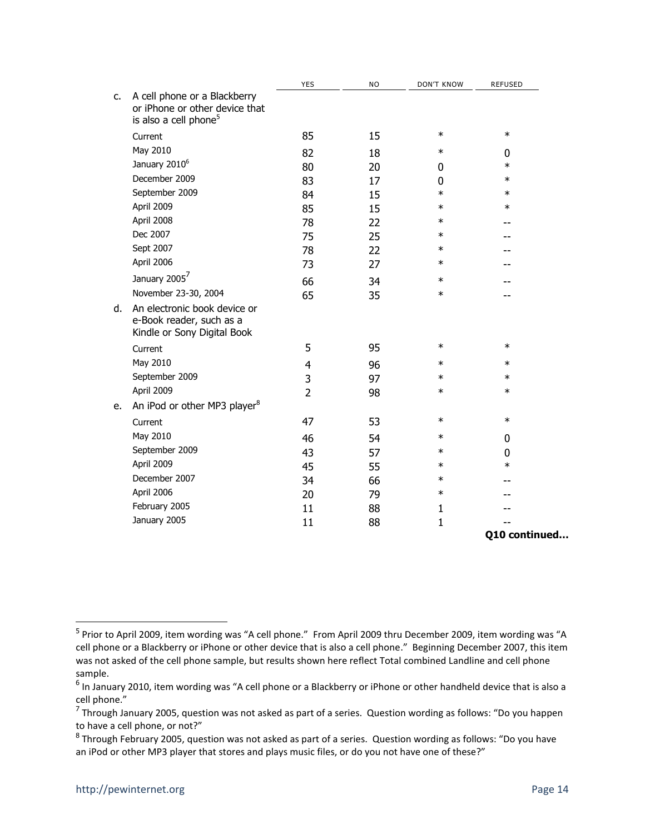|    |                                                                                                     | <b>YES</b>     | <b>NO</b> | <b>DON'T KNOW</b> | <b>REFUSED</b> |
|----|-----------------------------------------------------------------------------------------------------|----------------|-----------|-------------------|----------------|
| C. | A cell phone or a Blackberry<br>or iPhone or other device that<br>is also a cell phone <sup>5</sup> |                |           |                   |                |
|    | Current                                                                                             | 85             | 15        | $\ast$            | $\ast$         |
|    | May 2010                                                                                            | 82             | 18        | $\ast$            | 0              |
|    | January 2010 <sup>6</sup>                                                                           | 80             | 20        | 0                 | $\ast$         |
|    | December 2009                                                                                       | 83             | 17        | 0                 | $\ast$         |
|    | September 2009                                                                                      | 84             | 15        | $\ast$            | $\ast$         |
|    | April 2009                                                                                          | 85             | 15        | $\ast$            | $\ast$         |
|    | April 2008                                                                                          | 78             | 22        | $\ast$            |                |
|    | Dec 2007                                                                                            | 75             | 25        | $\ast$            |                |
|    | Sept 2007                                                                                           | 78             | 22        | $\ast$            |                |
|    | April 2006                                                                                          | 73             | 27        | $\ast$            |                |
|    | January 2005                                                                                        | 66             | 34        | $\ast$            |                |
|    | November 23-30, 2004                                                                                | 65             | 35        | $\ast$            |                |
| d. | An electronic book device or<br>e-Book reader, such as a<br>Kindle or Sony Digital Book             |                |           |                   |                |
|    | Current                                                                                             | 5              | 95        | $\ast$            | $\ast$         |
|    | May 2010                                                                                            | 4              | 96        | $\ast$            | $\ast$         |
|    | September 2009                                                                                      | 3              | 97        | $\ast$            | $\ast$         |
|    | April 2009                                                                                          | $\overline{2}$ | 98        | $\ast$            | $\ast$         |
| e. | An iPod or other MP3 player <sup>8</sup>                                                            |                |           |                   |                |
|    | Current                                                                                             | 47             | 53        | $\ast$            | $\ast$         |
|    | May 2010                                                                                            | 46             | 54        | $\ast$            | 0              |
|    | September 2009                                                                                      | 43             | 57        | $\ast$            | 0              |
|    | April 2009                                                                                          | 45             | 55        | $\ast$            | $\ast$         |
|    | December 2007                                                                                       | 34             | 66        | $\ast$            |                |
|    | April 2006                                                                                          | 20             | 79        | $\ast$            |                |
|    | February 2005                                                                                       | 11             | 88        | 1                 |                |
|    | January 2005                                                                                        | 11             | 88        | $\mathbf{1}$      |                |
|    |                                                                                                     |                |           |                   | Q10 continued  |

 5 Prior to April 2009, item wording was "A cell phone." From April 2009 thru December 2009, item wording was "A cell phone or a Blackberry or iPhone or other device that is also a cell phone." Beginning December 2007, this item was not asked of the cell phone sample, but results shown here reflect Total combined Landline and cell phone sample.

<sup>&</sup>lt;sup>6</sup> In January 2010, item wording was "A cell phone or a Blackberry or iPhone or other handheld device that is also a cell phone."

<sup>&</sup>lt;sup>7</sup> Through January 2005, question was not asked as part of a series. Question wording as follows: "Do you happen to have a cell phone, or not?"

<sup>&</sup>lt;sup>8</sup> Through February 2005, question was not asked as part of a series. Question wording as follows: "Do you have an iPod or other MP3 player that stores and plays music files, or do you not have one of these?"